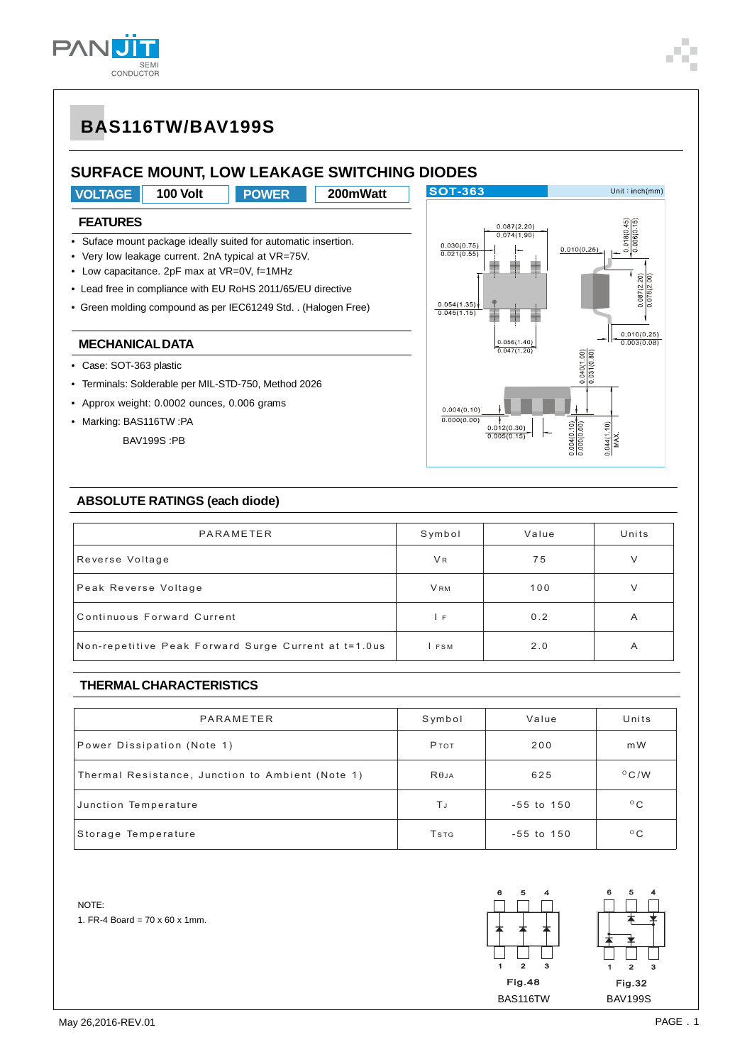

# **BAS116TW/BAV199S**

## **SURFACE MOUNT, LOW LEAKAGE SWITCHING DIODES**



### **FEATURES**

- Suface mount package ideally suited for automatic insertion.
- Very low leakage current. 2nA typical at VR=75V.
- Low capacitance. 2pF max at VR=0V, f=1MHz
- Lead free in compliance with EU RoHS 2011/65/EU directive
- Green molding compound as per IEC61249 Std. . (Halogen Free)

#### **MECHANICAL DATA**

- Case: SOT-363 plastic
- Terminals: Solderable per MIL-STD-750, Method 2026
- Approx weight: 0.0002 ounces, 0.006 grams
- Marking: BAS116TW :PA
	- BAV199S :PB



#### **ABSOLUTE RATINGS (each diode)**

| PARAMETER                                            | Symbol     | Value | Units |
|------------------------------------------------------|------------|-------|-------|
| Reverse Voltage                                      | <b>VR</b>  | 75    | V     |
| Peak Reverse Voltage                                 | <b>VRM</b> | 100   | V     |
| Continuous Forward Current                           | ΙF         | 0.2   | A     |
| Non-repetitive Peak Forward Surge Current at t=1.0us | I FSM      | 2.0   | A     |

### **THERMAL CHARACTERISTICS**

| PARAMETER                                        | Symbol       | Value          | Units          |
|--------------------------------------------------|--------------|----------------|----------------|
| Power Dissipation (Note 1)                       | Ртот         | 200            | m W            |
| Thermal Resistance, Junction to Ambient (Note 1) | $R\theta$ JA | 625            | $^{\circ}$ C/W |
| Junction Temperature                             | ΤJ           | $-55$ to $150$ | $^{\circ}$ C   |
| Storage Temperature                              | <b>T</b> stg | $-55$ to $150$ | $^{\circ}$ C   |

NOTE:

1. FR-4 Board =  $70 \times 60 \times 1$ mm.

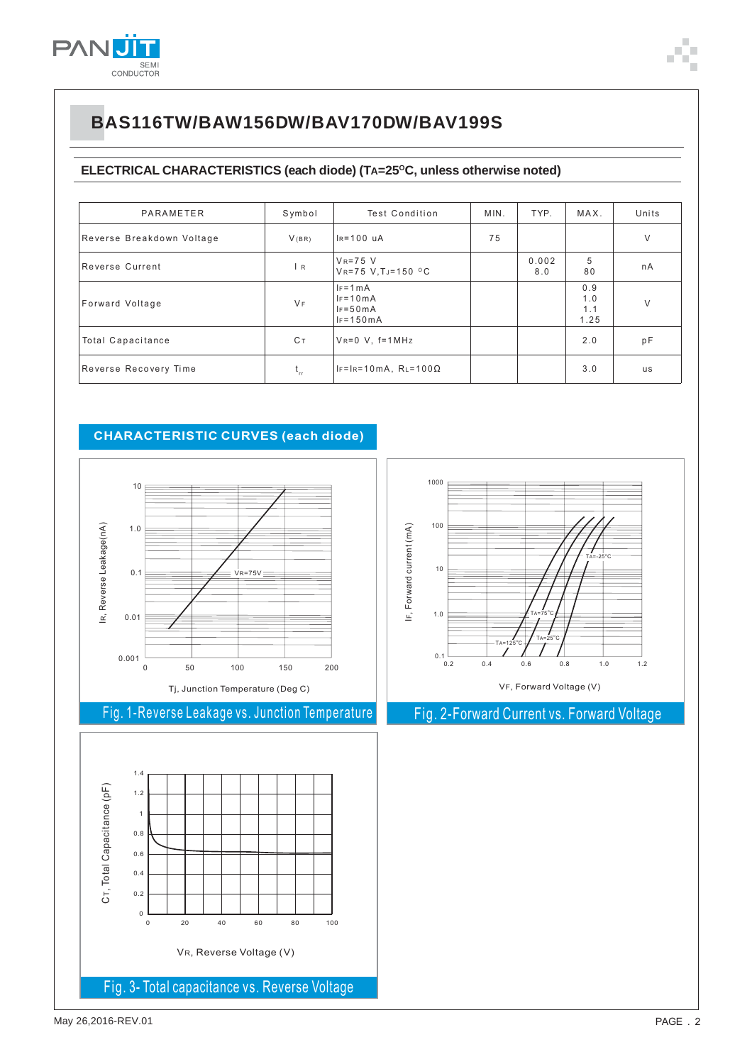

# BAS116TW/BAW156DW/BAV170DW/BAV199S

### ELECTRICAL CHARACTERISTICS (each diode) (TA=25°C, unless otherwise noted)

| PARAMETER                 | Symbol   | Test Condition                                             | MIN. | TYP.         | MAX.                      | Units     |
|---------------------------|----------|------------------------------------------------------------|------|--------------|---------------------------|-----------|
| Reverse Breakdown Voltage | V(BR)    | IR=100 uA                                                  | 75   |              |                           | V         |
| Reverse Current           | R        | $V_R = 75$ V<br>$V_{R} = 75 V, T = 150 ^{\circ}C$          |      | 0.002<br>8.0 | 5<br>80                   | nA        |
| Forward Voltage           | $V_F$    | $I_F = 1 mA$<br>$IF = 10mA$<br>$IF = 50mA$<br>$IF = 150mA$ |      |              | 0.9<br>1.0<br>1.1<br>1.25 | $\vee$    |
| <b>Total Capacitance</b>  | Cт       | $V_R = 0$ V, $f = 1$ MHz                                   |      |              | 2.0                       | pF        |
| Reverse Recovery Time     | $t_{rr}$ | $IF=IR=10mA$ , $RL=100\Omega$                              |      |              | 3.0                       | <b>us</b> |

### **CHARACTERISTIC CURVES (each diode)**



## Fig. 1-Reverse Leakage vs. Junction Temperature





## Fig. 2-Forward Current vs. Forward Voltage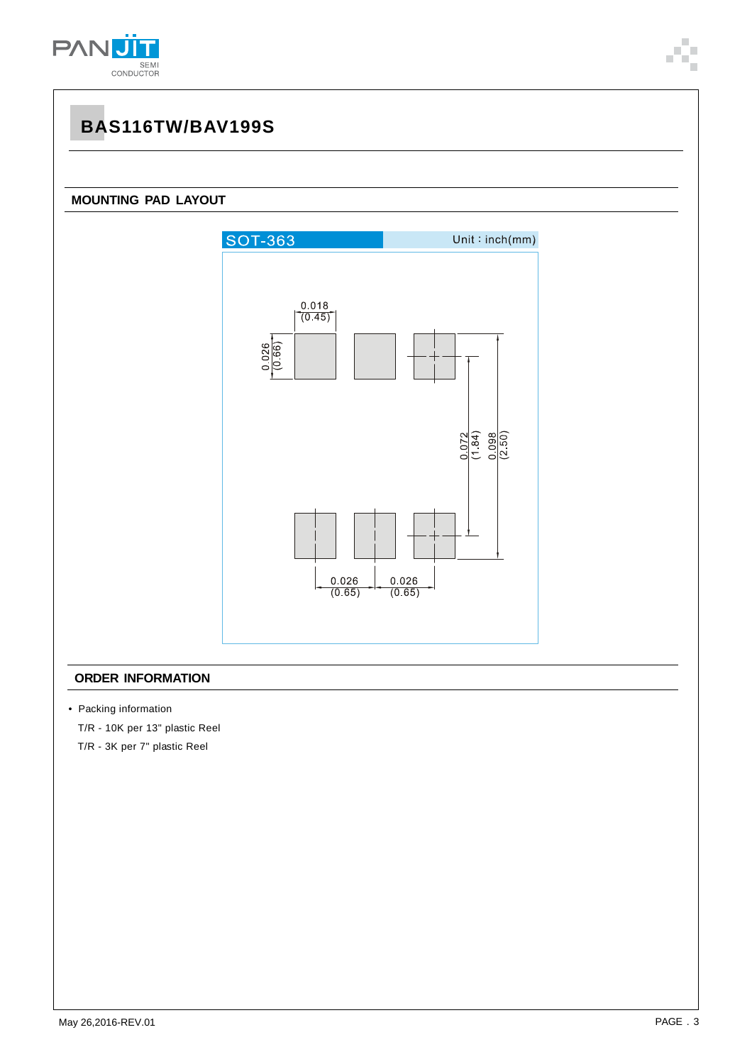

# **BAS116TW/BAV199S**

### **MOUNTING PAD LAYOUT**



### **ORDER INFORMATION**

• Packing information

T/R - 10K per 13" plastic Reel

T/R - 3K per 7" plastic Reel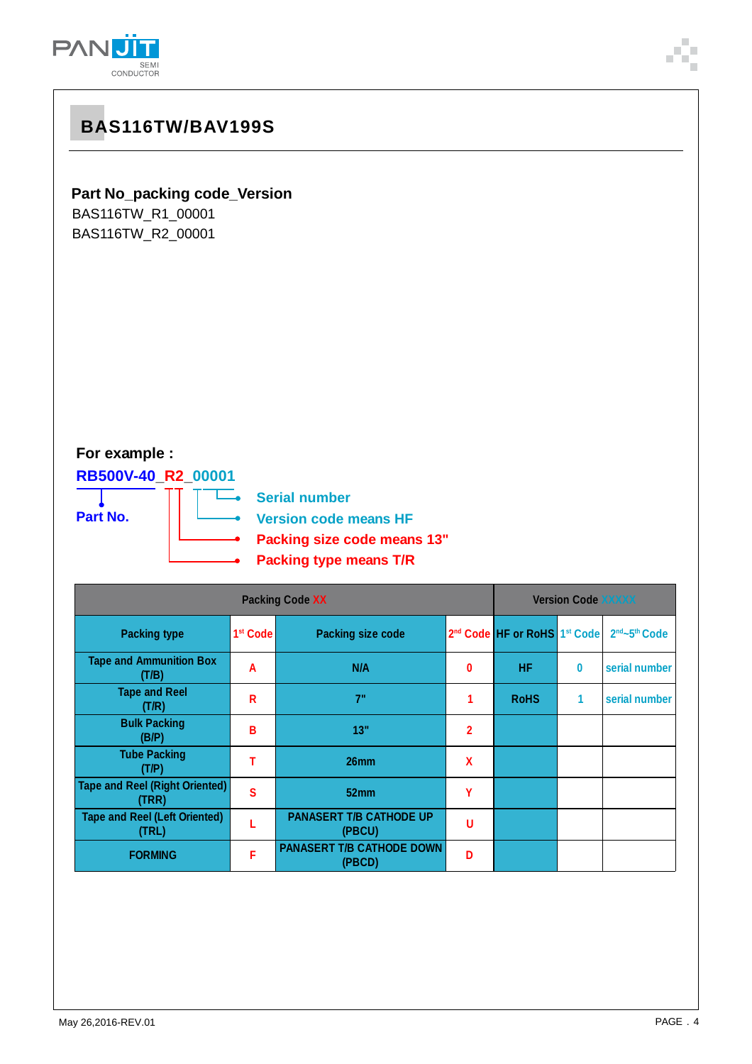